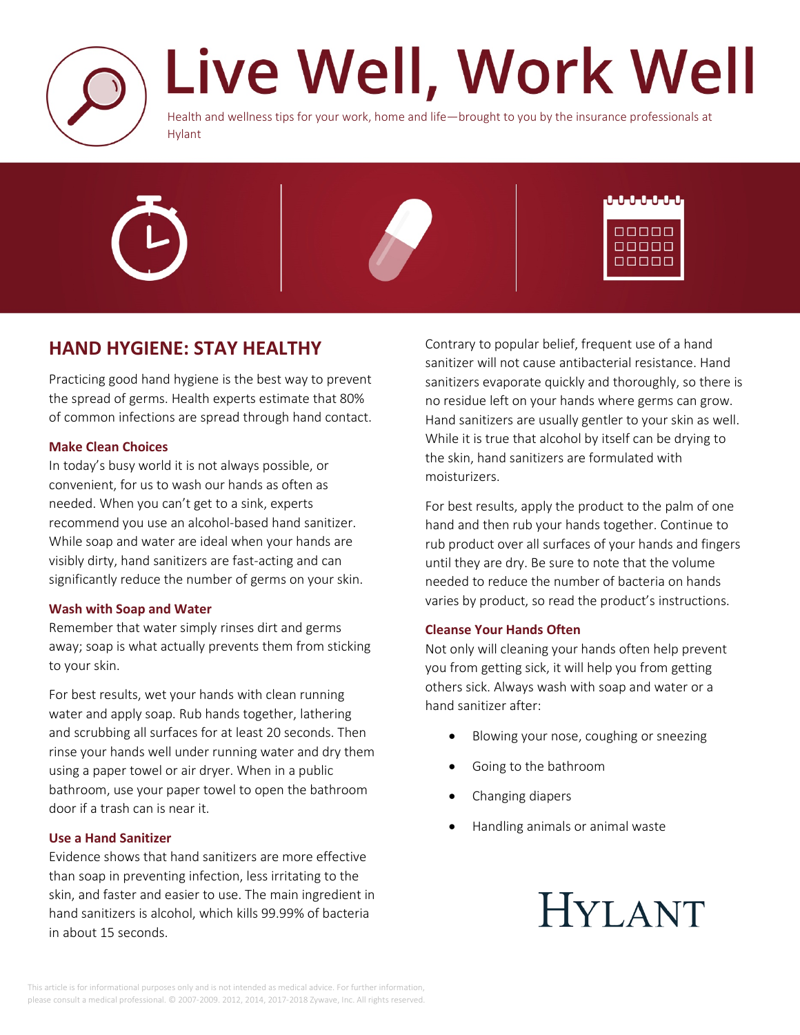

# Live Well, Work Well

Health and wellness tips for your work, home and life—brought to you by the insurance professionals at Hylant





### **HAND HYGIENE: STAY HEALTHY**

Practicing good hand hygiene is the best way to prevent the spread of germs. Health experts estimate that 80% of common infections are spread through hand contact.

#### **Make Clean Choices**

In today's busy world it is not always possible, or convenient, for us to wash our hands as often as needed. When you can't get to a sink, experts recommend you use an alcohol-based hand sanitizer. While soap and water are ideal when your hands are visibly dirty, hand sanitizers are fast-acting and can significantly reduce the number of germs on your skin.

#### **Wash with Soap and Water**

Remember that water simply rinses dirt and germs away; soap is what actually prevents them from sticking to your skin.

For best results, wet your hands with clean running water and apply soap. Rub hands together, lathering and scrubbing all surfaces for at least 20 seconds. Then rinse your hands well under running water and dry them using a paper towel or air dryer. When in a public bathroom, use your paper towel to open the bathroom door if a trash can is near it.

#### **Use a Hand Sanitizer**

Evidence shows that hand sanitizers are more effective than soap in preventing infection, less irritating to the skin, and faster and easier to use. The main ingredient in hand sanitizers is alcohol, which kills 99.99% of bacteria in about 15 seconds.

Contrary to popular belief, frequent use of a hand sanitizer will not cause antibacterial resistance. Hand sanitizers evaporate quickly and thoroughly, so there is no residue left on your hands where germs can grow. Hand sanitizers are usually gentler to your skin as well. While it is true that alcohol by itself can be drying to the skin, hand sanitizers are formulated with moisturizers.

For best results, apply the product to the palm of one hand and then rub your hands together. Continue to rub product over all surfaces of your hands and fingers until they are dry. Be sure to note that the volume needed to reduce the number of bacteria on hands varies by product, so read the product's instructions.

#### **Cleanse Your Hands Often**

Not only will cleaning your hands often help prevent you from getting sick, it will help you from getting others sick. Always wash with soap and water or a hand sanitizer after:

- Blowing your nose, coughing or sneezing
- Going to the bathroom
- Changing diapers
- Handling animals or animal waste

## **HYLANT**